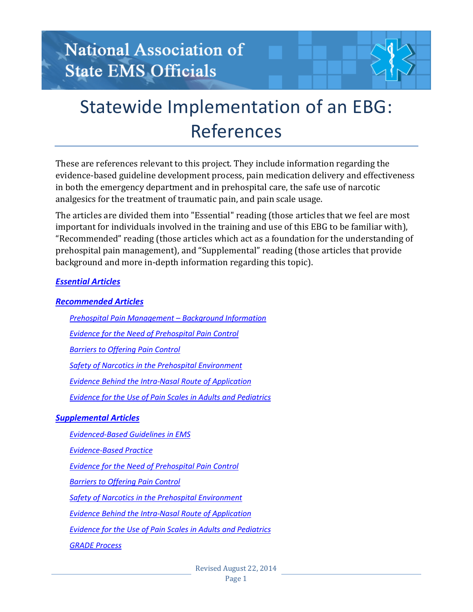## National Association of **State EMS Officials**

# Statewide Implementation of an EBG: References

These are references relevant to this project. They include information regarding the evidence-based guideline development process, pain medication delivery and effectiveness in both the emergency department and in prehospital care, the safe use of narcotic analgesics for the treatment of traumatic pain, and pain scale usage.

The articles are divided them into "Essential" reading (those articles that we feel are most important for individuals involved in the training and use of this EBG to be familiar with), "Recommended" reading (those articles which act as a foundation for the understanding of prehospital pain management), and "Supplemental" reading (those articles that provide background and more in-depth information regarding this topic).

#### *[Essential Articles](#page-1-0)*

#### *[Recommended Articles](#page-1-1)*

*[Prehospital Pain Management](#page-1-2) – Background Information*

*[Evidence for the Need of Prehospital Pain Control](#page-1-3)*

*[Barriers to Offering Pain Control](#page-1-4)*

*[Safety of Narcotics in the Prehospital Environment](#page-1-5)*

*[Evidence Behind the Intra-Nasal Route of Application](#page-2-0)*

*[Evidence for the Use of Pain Scales in Adults and Pediatrics](#page-2-1)*

#### *[Supplemental Articles](#page-2-2)*

*[Evidenced-Based Guidelines in EMS](#page-2-3)*

*[Evidence-Based Practice](#page-3-0)*

*[Evidence for the Need of Prehospital Pain Control](#page-3-1)*

*[Barriers to Offering Pain Control](#page-4-0)*

*[Safety of Narcotics in the Prehospital Environment](#page-4-1)*

*[Evidence Behind the Intra-Nasal Route of Application](#page-4-2)*

*[Evidence for the Use of Pain Scales in Adults and Pediatrics](#page-4-3)*

*[GRADE Process](#page-5-0)*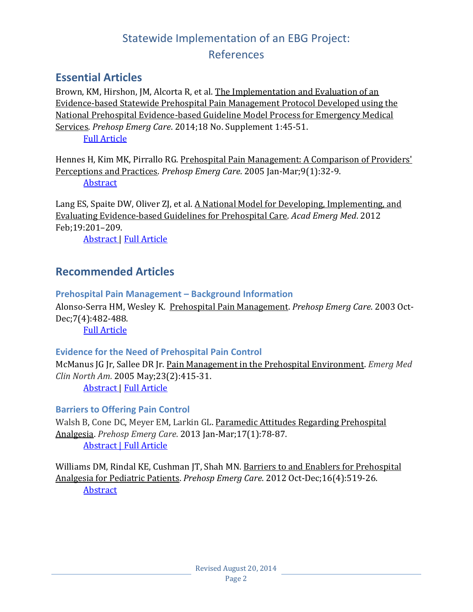#### <span id="page-1-0"></span>**Essential Articles**

Brown, KM, Hirshon, JM, Alcorta R, et al. The Implementation and Evaluation of an Evidence-based Statewide Prehospital Pain Management Protocol Developed using the National Prehospital Evidence-based Guideline Model Process for Emergency Medical Services. *Prehosp Emerg Care*. 2014;18 No. Supplement 1:45-51. [Full Article](http://informahealthcare.com/doi/pdf/10.3109/10903127.2013.831510)

Hennes H, Kim MK, Pirrallo RG. Prehospital Pain Management: A Comparison of Providers' Perceptions and Practices. *Prehosp Emerg Care*. 2005 Jan-Mar;9(1):32-9. [Abstract](http://www.ncbi.nlm.nih.gov/pubmed/16036825)

Lang ES, Spaite DW, Oliver ZJ, et al. A National Model for Developing, Implementing, and Evaluating Evidence-based Guidelines for Prehospital Care. *Acad Emerg Med*. 2012 Feb;19:201–209.

[Abstract](http://www.ncbi.nlm.nih.gov/pubmed/22320372) | [Full Article](http://onlinelibrary.wiley.com/doi/10.1111/j.1553-2712.2011.01281.x/pdf)

#### <span id="page-1-1"></span>**Recommended Articles**

<span id="page-1-2"></span>**Prehospital Pain Management – Background Information** Alonso-Serra HM, Wesley K. Prehospital Pain Management. *Prehosp Emerg Care*. 2003 Oct-Dec;7(4):482-488. [Full Article](http://www.naemsp.org/Documents/Topic004-NAEMSP-PosPaperOnPainMgmntanagement.pdf) 

#### <span id="page-1-3"></span>**Evidence for the Need of Prehospital Pain Control**

McManus JG Jr, Sallee DR Jr. Pain Management in the Prehospital Environment. *Emerg Med Clin North Am*. 2005 May;23(2):415-31.

[Abstract](http://www.ncbi.nlm.nih.gov/pubmed/15829390) | [Full Article](https://www.jsomonline.org/Publications/20081111McManus.pdf)

#### <span id="page-1-4"></span>**Barriers to Offering Pain Control**

Walsh B, Cone DC, Meyer EM, Larkin GL. Paramedic Attitudes Regarding Prehospital Analgesia. *Prehosp Emerg Care*. 2013 Jan-Mar;17(1):78-87. [Abstract](http://www.ncbi.nlm.nih.gov/pubmed/22971168) | [Full Article](http://www.amr.net/About-AMR/AMR-Medicine/Clinical-Quality-Initiatives/The-Things-that-Matter/pain-attitudes--2013.aspx)

<span id="page-1-5"></span>Williams DM, Rindal KE, Cushman JT, Shah MN. Barriers to and Enablers for Prehospital Analgesia for Pediatric Patients. *Prehosp Emerg Care*. 2012 Oct-Dec;16(4):519-26. **[Abstract](http://www.ncbi.nlm.nih.gov/pubmed/22823931)**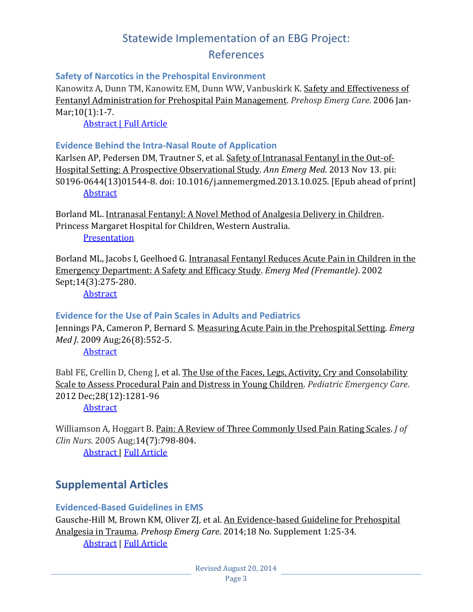### Statewide Implementation of an EBG Project:

#### References

#### **Safety of Narcotics in the Prehospital Environment**

Kanowitz A, Dunn TM, Kanowitz EM, Dunn WW, Vanbuskirk K. Safety and Effectiveness of Fentanyl Administration for Prehospital Pain Management. *Prehosp Emerg Care*. 2006 Jan-Mar; 10(1): 1-7.

[Abstract](http://www.ncbi.nlm.nih.gov/pubmed/16418084) | [Full Article](http://instructor.mstc.edu/instructor/randers/documents/fentanyl%20safety.pdf)

#### <span id="page-2-0"></span>**Evidence Behind the Intra-Nasal Route of Application**

Karlsen AP, Pedersen DM, Trautner S, et al. Safety of Intranasal Fentanyl in the Out-of-Hospital Setting: A Prospective Observational Study. *Ann Emerg Med*. 2013 Nov 13. pii: S0196-0644(13)01544-8. doi: 10.1016/j.annemergmed.2013.10.025. [Epub ahead of print] [Abstract](http://www.ncbi.nlm.nih.gov/pubmed/24268523)

Borland ML. Intranasal Fentanyl: A Novel Method of Analgesia Delivery in Children. Princess Margaret Hospital for Children, Western Australia. **[Presentation](http://imgpublic.mci-group.com/ie/ICEM2012/Thursday/track2/Meredith_Borland.pdf)** 

Borland ML, Jacobs I, Geelhoed G. Intranasal Fentanyl Reduces Acute Pain in Children in the Emergency Department: A Safety and Efficacy Study. *Emerg Med (Fremantle)*. 2002 Sept;14(3):275-280.

[Abstract](http://www.ncbi.nlm.nih.gov/pubmed/?term=Intranasal+fentanyl+reduces+acute+pain+in+children+in+the+emergency+department%3A+A+safety+and+efficacy+study)

#### <span id="page-2-1"></span>**Evidence for the Use of Pain Scales in Adults and Pediatrics**

Jennings PA, Cameron P, Bernard S. Measuring Acute Pain in the Prehospital Setting. *Emerg Med J*. 2009 Aug;26(8):552-5.

[Abstract](http://www.ncbi.nlm.nih.gov/pubmed/19625547)

Babl FE, Crellin D, Cheng J, et al. The Use of the Faces, Legs, Activity, Cry and Consolability Scale to Assess Procedural Pain and Distress in Young Children. *Pediatric Emergency Care*. 2012 Dec;28(12):1281-96

**[Abstract](http://www.ncbi.nlm.nih.gov/pubmed/23187981)** 

Williamson A, Hoggart B. Pain: A Review of Three Commonly Used Pain Rating Scales. *J of Clin Nurs*. 2005 Aug;14(7):798-804.

[Abstract](http://www.ncbi.nlm.nih.gov/pubmed/16000093) | [Full Article](http://onlinelibrary.wiley.com/store/10.1111/j.1365-2702.2005.01121.x/asset/j.1365-2702.2005.01121.x.pdf?v=1&t=hwu1oik1&s=3c10f484b22a8f1fd436db0a537fa9f3a7210800)

#### <span id="page-2-2"></span>**Supplemental Articles**

#### <span id="page-2-3"></span>**Evidenced-Based Guidelines in EMS**

Gausche-Hill M, Brown KM, Oliver ZJ, et al. An Evidence-based Guideline for Prehospital Analgesia in Trauma. *Prehosp Emerg Care*. 2014;18 No. Supplement 1:25-34. [Abstract](http://informahealthcare.com/doi/abs/10.3109/10903127.2013.844873) | [Full Article](http://informahealthcare.com/doi/pdf/10.3109/10903127.2013.844873)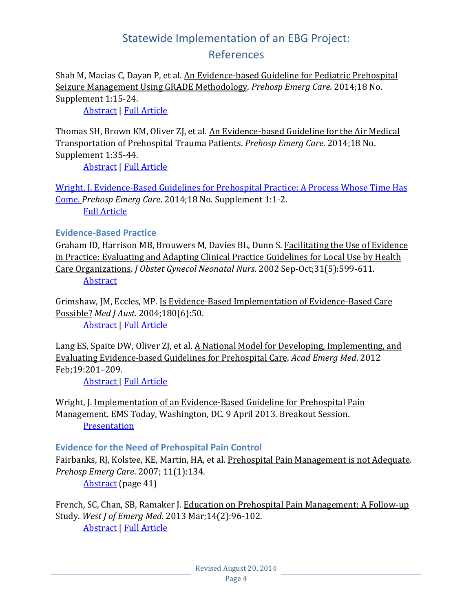Shah M, Macias C, Dayan P, et al. An Evidence-based Guideline for Pediatric Prehospital Seizure Management Using GRADE Methodology. *Prehosp Emerg Care*. 2014;18 No. Supplement 1:15-24.

[Abstract](http://informahealthcare.com/doi/abs/10.3109/10903127.2013.844874) | [Full Article](http://informahealthcare.com/doi/pdf/10.3109/10903127.2013.844874)

Thomas SH, Brown KM, Oliver ZJ, et al. An Evidence-based Guideline for the Air Medical Transportation of Prehospital Trauma Patients. *Prehosp Emerg Care*. 2014;18 No. Supplement 1:35-44. [Abstract](http://informahealthcare.com/doi/abs/10.3109/10903127.2013.844872) | [Full Article](http://informahealthcare.com/doi/pdf/10.3109/10903127.2013.844872)

Wright, J. Evidence-Based Guidelines for Prehospital Practice: A Process Whose Time Has Come. *Prehosp Emerg Care*. 2014;18 No. Supplement 1:1-2. [Full Article](http://informahealthcare.com/doi/pdf/10.3109/10903127.2013.844875)

#### <span id="page-3-0"></span>**Evidence-Based Practice**

Graham ID, Harrison MB, Brouwers M, Davies BL, Dunn S. Facilitating the Use of Evidence in Practice: Evaluating and Adapting Clinical Practice Guidelines for Local Use by Health Care Organizations. *J Obstet Gynecol Neonatal Nurs*. 2002 Sep-Oct;31(5):599-611. **[Abstract](http://www.ncbi.nlm.nih.gov/pubmed/12353740)** 

Grimshaw, JM, Eccles, MP. Is Evidence-Based Implementation of Evidence-Based Care Possible? *Med J Aust*. 2004;180(6):50.

[Abstract](http://www.ncbi.nlm.nih.gov/pubmed/15012580) | [Full Article](https://www.mja.com.au/journal/2004/180/6/evidence-based-implementation-evidence-based-care-possible)

Lang ES, Spaite DW, Oliver ZJ, et al. A National Model for Developing, Implementing, and Evaluating Evidence-based Guidelines for Prehospital Care. *Acad Emerg Med*. 2012 Feb;19:201–209.

[Abstract](http://www.ncbi.nlm.nih.gov/pubmed/22320372) | [Full Article](http://onlinelibrary.wiley.com/doi/10.1111/j.1553-2712.2011.01281.x/pdf)

Wright, J. Implementation of an Evidence-Based Guideline for Prehospital Pain Management. EMS Today, Washington, DC. 9 April 2013. Breakout Session. [Presentation](http://www.nasemso.org/documents/EMS-Today-Wright-EBG-Presentation-030913.pdf)

#### <span id="page-3-1"></span>**Evidence for the Need of Prehospital Pain Control**

Fairbanks, RJ, Kolstee, KE, Martin, HA, et al. Prehospital Pain Management is not Adequate. *Prehosp Emerg Care*. 2007; 11(1):134.

[Abstract](http://www.nasemso.org/documents/Abstracts-for-2007-NAEMSP-Scientific-Assembly.pdf) (page 41)

French, SC, Chan, SB, Ramaker J. Education on Prehospital Pain Management: A Follow-up Study. *West J of Emerg Med*. 2013 Mar;14(2):96-102. [Abstract](http://www.ncbi.nlm.nih.gov/pubmed/23599840) | [Full Article](http://www.ncbi.nlm.nih.gov/pmc/articles/PMC3628488/pdf/wjem-14-96.pdf)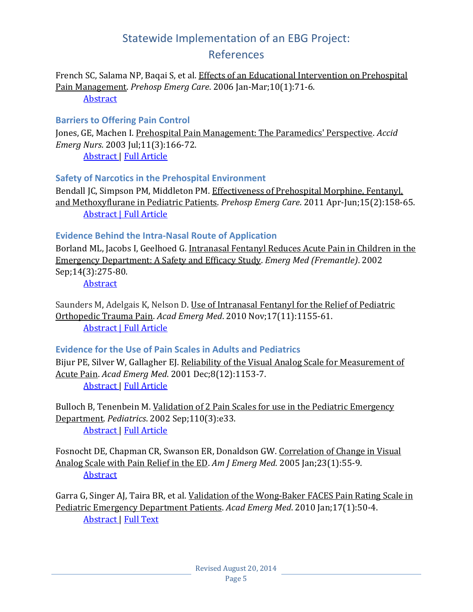French SC, Salama NP, Baqai S, et al. Effects of an Educational Intervention on Prehospital Pain Management. *Prehosp Emerg Care*. 2006 Jan-Mar;10(1):71-6.

**[Abstract](http://www.ncbi.nlm.nih.gov/pubmed/16418094)** 

#### <span id="page-4-0"></span>**Barriers to Offering Pain Control**

Jones, GE, Machen I. Prehospital Pain Management: The Paramedics' Perspective. *Accid Emerg Nurs*. 2003 Jul;11(3):166-72.

[Abstract](http://www.ncbi.nlm.nih.gov/pubmed/12804613) | [Full Article](http://uhra.herts.ac.uk/bitstream/handle/2299/2122/100460.pdf?sequence=1)

#### <span id="page-4-1"></span>**Safety of Narcotics in the Prehospital Environment**

Bendall JC, Simpson PM, Middleton PM. Effectiveness of Prehospital Morphine, Fentanyl, and Methoxyflurane in Pediatric Patients. *Prehosp Emerg Care*. 2011 Apr-Jun;15(2):158-65. [Abstract](http://www.ncbi.nlm.nih.gov/pubmed/21294628) | [Full Article](http://www.naemsp.org/Documents/Topic004-Middleton-EffectivenessMorphFentMethoxyflurInEMS-PEC-2010.pdf)

#### <span id="page-4-2"></span>**Evidence Behind the Intra-Nasal Route of Application**

Borland ML, Jacobs I, Geelhoed G. Intranasal Fentanyl Reduces Acute Pain in Children in the Emergency Department: A Safety and Efficacy Study. *Emerg Med (Fremantle)*. 2002 Sep;14(3):275-80.

**[Abstract](http://www.ncbi.nlm.nih.gov/pubmed/12487045)** 

Saunders M, Adelgais K, Nelson D. Use of Intranasal Fentanyl for the Relief of Pediatric Orthopedic Trauma Pain. *Acad Emerg Med*. 2010 Nov;17(11):1155-61. [Abstract](http://www.ncbi.nlm.nih.gov/pubmed/21175512) | [Full Article](http://onlinelibrary.wiley.com/store/10.1111/j.1553-2712.2010.00905.x/asset/j.1553-2712.2010.00905.x.pdf?v=1&t=hwu2img8&s=1c89a065709090a549cb9d9ff1f1ded4258d4fcb)

#### <span id="page-4-3"></span>**Evidence for the Use of Pain Scales in Adults and Pediatrics**

Bijur PE, Silver W, Gallagher EJ. Reliability of the Visual Analog Scale for Measurement of Acute Pain. *Acad Emerg Med*. 2001 Dec;8(12):1153-7. [Abstract](http://www.ncbi.nlm.nih.gov/pubmed/11733293) | [Full Article](http://onlinelibrary.wiley.com/store/10.1111/j.1553-2712.2001.tb01132.x/asset/j.1553-2712.2001.tb01132.x.pdf?v=1&t=hwu2kdi2&s=9d0bc75796b377766b0f73b4526d61a11ebdb167)

Bulloch B, Tenenbein M. Validation of 2 Pain Scales for use in the Pediatric Emergency Department. *Pediatrics*. 2002 Sep;110(3):e33. [Abstract](http://www.ncbi.nlm.nih.gov/pubmed/12205283) | [Full Article](http://pediatrics.aappublications.org/content/110/3/e33.full.pdf+html)

Fosnocht DE, Chapman CR, Swanson ER, Donaldson GW. Correlation of Change in Visual Analog Scale with Pain Relief in the ED. *Am J Emerg Med*. 2005 Jan;23(1):55-9. **[Abstract](http://www.ncbi.nlm.nih.gov/pubmed/15672339)** 

Garra G, Singer AJ, Taira BR, et al. Validation of the Wong-Baker FACES Pain Rating Scale in Pediatric Emergency Department Patients. *Acad Emerg Med*. 2010 Jan;17(1):50-4. [Abstract](http://www.ncbi.nlm.nih.gov/pubmed/20003121) | [Full Text](http://onlinelibrary.wiley.com/doi/10.1111/j.1553-2712.2009.00620.x/pdf)